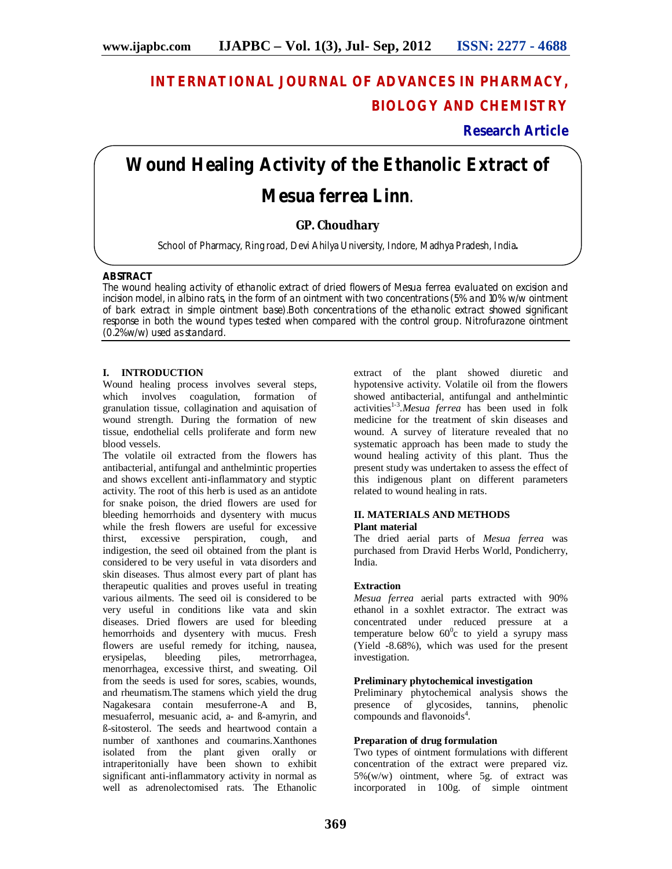## **INTERNATIONAL JOURNAL OF ADVANCES IN PHARMACY, BIOLOGY AND CHEMISTRY**

## **Research Article**

# **Wound Healing Activity of the Ethanolic Extract of**  *Mesua ferrea* **Linn**.

### **GP. Choudhary**

School of Pharmacy, Ring road, Devi Ahilya University, Indore, Madhya Pradesh, India**.**

#### **ABSTRACT**

The wound healing activity of ethanolic extract of dried flowers of *Mesua ferrea* evaluated on excision and incision model, in albino rats, in the form of an ointment with two concentrations (5% and 10% w/w ointment of bark extract in simple ointment base).Both concentrations of the ethanolic extract showed significant response in both the wound types tested when compared with the control group. Nitrofurazone ointment (0.2%w/w) used as standard.

#### **I. INTRODUCTION**

Wound healing process involves several steps, which involves coagulation, formation of granulation tissue, collagination and aquisation of wound strength. During the formation of new tissue, endothelial cells proliferate and form new blood vessels.

The volatile oil extracted from the flowers has antibacterial, antifungal and anthelmintic properties and shows excellent anti-inflammatory and styptic activity. The root of this herb is used as an antidote for snake poison, the dried flowers are used for bleeding hemorrhoids and dysentery with mucus while the fresh flowers are useful for excessive thirst, excessive perspiration, cough, and indigestion, the seed oil obtained from the plant is considered to be very useful in vata disorders and skin diseases. Thus almost every part of plant has therapeutic qualities and proves useful in treating various ailments. The seed oil is considered to be very useful in conditions like vata and skin diseases. Dried flowers are used for bleeding hemorrhoids and dysentery with mucus. Fresh flowers are useful remedy for itching, nausea, erysipelas, bleeding piles, metrorrhagea, menorrhagea, excessive thirst, and sweating. Oil from the seeds is used for sores, scabies, wounds, and rheumatism.The stamens which yield the drug Nagakesara contain mesuferrone-A and B, mesuaferrol, mesuanic acid, a- and ß-amyrin, and ß-sitosterol. The seeds and heartwood contain a number of xanthones and coumarins.Xanthones isolated from the plant given orally or intraperitonially have been shown to exhibit significant anti-inflammatory activity in normal as well as adrenolectomised rats. The Ethanolic

extract of the plant showed diuretic and hypotensive activity. Volatile oil from the flowers showed antibacterial, antifungal and anthelmintic activities<sup>1-3</sup>. Mesua ferrea has been used in folk medicine for the treatment of skin diseases and wound. A survey of literature revealed that no systematic approach has been made to study the wound healing activity of this plant. Thus the present study was undertaken to assess the effect of this indigenous plant on different parameters related to wound healing in rats.

#### **II. MATERIALS AND METHODS Plant material**

The dried aerial parts of *Mesua ferrea* was purchased from Dravid Herbs World, Pondicherry, India.

#### **Extraction**

*Mesua ferrea* aerial parts extracted with 90% ethanol in a soxhlet extractor. The extract was concentrated under reduced pressure at a temperature below  $60^{\circ}$ c to yield a syrupy mass (Yield -8.68%), which was used for the present investigation.

#### **Preliminary phytochemical investigation**

Preliminary phytochemical analysis shows the presence of glycosides, tannins, phenolic presence of glycosides, compounds and flavonoids<sup>4</sup>.

#### **Preparation of drug formulation**

Two types of ointment formulations with different concentration of the extract were prepared viz. 5%(w/w) ointment, where 5g. of extract was incorporated in 100g. of simple ointment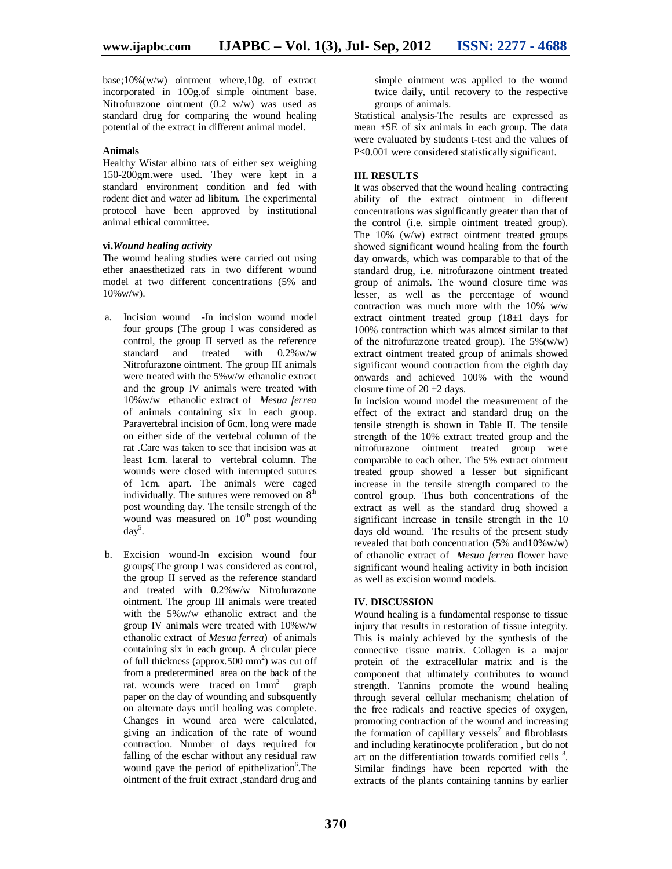base; $10\%$ (w/w) ointment where, $10g$  of extract incorporated in 100g.of simple ointment base. Nitrofurazone ointment  $(0.2 \ w/w)$  was used as standard drug for comparing the wound healing potential of the extract in different animal model.

#### **Animals**

Healthy Wistar albino rats of either sex weighing 150-200gm.were used. They were kept in a standard environment condition and fed with rodent diet and water ad libitum. The experimental protocol have been approved by institutional animal ethical committee.

#### **vi.***Wound healing activity*

The wound healing studies were carried out using ether anaesthetized rats in two different wound model at two different concentrations (5% and 10%w/w).

- a. Incision wound -In incision wound model four groups (The group I was considered as control, the group II served as the reference standard and treated with 0.2%w/w Nitrofurazone ointment. The group III animals were treated with the 5%w/w ethanolic extract and the group IV animals were treated with 10%w/w ethanolic extract of *Mesua ferrea* of animals containing six in each group. Paravertebral incision of 6cm. long were made on either side of the vertebral column of the rat .Care was taken to see that incision was at least 1cm. lateral to vertebral column. The wounds were closed with interrupted sutures of 1cm. apart. The animals were caged individually. The sutures were removed on  $8<sup>th</sup>$ post wounding day. The tensile strength of the wound was measured on  $10<sup>th</sup>$  post wounding day<sup>5</sup> .
- b. Excision wound-In excision wound four groups(The group I was considered as control, the group II served as the reference standard and treated with 0.2%w/w Nitrofurazone ointment. The group III animals were treated with the 5%w/w ethanolic extract and the group IV animals were treated with 10%w/w ethanolic extract of *Mesua ferrea*) of animals containing six in each group. A circular piece of full thickness (approx.500 mm<sup>2</sup>) was cut off from a predetermined area on the back of the rat. wounds were traced on  $1mm<sup>2</sup>$  graph paper on the day of wounding and subsquently on alternate days until healing was complete. Changes in wound area were calculated, giving an indication of the rate of wound contraction. Number of days required for falling of the eschar without any residual raw wound gave the period of epithelization<sup>6</sup>. The ointment of the fruit extract , standard drug and

simple ointment was applied to the wound twice daily, until recovery to the respective groups of animals.

Statistical analysis-The results are expressed as mean ±SE of six animals in each group. The data were evaluated by students t-test and the values of  $P\leq 0.001$  were considered statistically significant.

#### **III. RESULTS**

It was observed that the wound healing contracting ability of the extract ointment in different concentrations was significantly greater than that of the control (i.e. simple ointment treated group). The 10% (w/w) extract ointment treated groups showed significant wound healing from the fourth day onwards, which was comparable to that of the standard drug, i.e. nitrofurazone ointment treated group of animals. The wound closure time was lesser, as well as the percentage of wound contraction was much more with the 10% w/w extract ointment treated group (18±1 days for 100% contraction which was almost similar to that of the nitrofurazone treated group). The  $5\%$ (w/w) extract ointment treated group of animals showed significant wound contraction from the eighth day onwards and achieved 100% with the wound closure time of  $20 \pm 2$  days.

In incision wound model the measurement of the effect of the extract and standard drug on the tensile strength is shown in Table II. The tensile strength of the 10% extract treated group and the nitrofurazone ointment treated group were comparable to each other. The 5% extract ointment treated group showed a lesser but significant increase in the tensile strength compared to the control group. Thus both concentrations of the extract as well as the standard drug showed a significant increase in tensile strength in the 10 days old wound. The results of the present study revealed that both concentration  $(5\% \text{ and } 10\% \text{w/w})$ of ethanolic extract of *Mesua ferrea* flower have significant wound healing activity in both incision as well as excision wound models.

#### **IV. DISCUSSION**

Wound healing is a fundamental response to tissue injury that results in restoration of tissue integrity. This is mainly achieved by the synthesis of the connective tissue matrix. Collagen is a major protein of the extracellular matrix and is the component that ultimately contributes to wound strength. Tannins promote the wound healing through several cellular mechanism; chelation of the free radicals and reactive species of oxygen, promoting contraction of the wound and increasing the formation of capillary vessels<sup>7</sup> and fibroblasts and including keratinocyte proliferation , but do not act on the differentiation towards cornified cells <sup>8</sup>. Similar findings have been reported with the extracts of the plants containing tannins by earlier